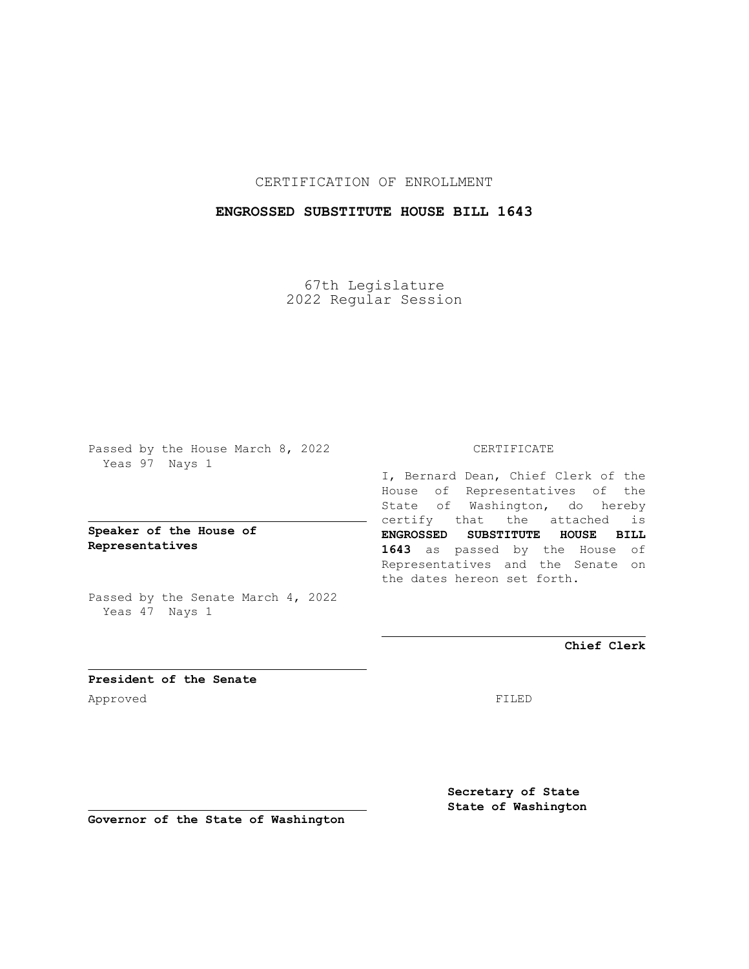CERTIFICATION OF ENROLLMENT

## **ENGROSSED SUBSTITUTE HOUSE BILL 1643**

67th Legislature 2022 Regular Session

Passed by the House March 8, 2022 Yeas 97 Nays 1

**Speaker of the House of Representatives**

Passed by the Senate March 4, 2022 Yeas 47 Nays 1

## CERTIFICATE

I, Bernard Dean, Chief Clerk of the House of Representatives of the State of Washington, do hereby certify that the attached is **ENGROSSED SUBSTITUTE HOUSE BILL 1643** as passed by the House of Representatives and the Senate on the dates hereon set forth.

**Chief Clerk**

**President of the Senate** Approved FILED

**Secretary of State State of Washington**

**Governor of the State of Washington**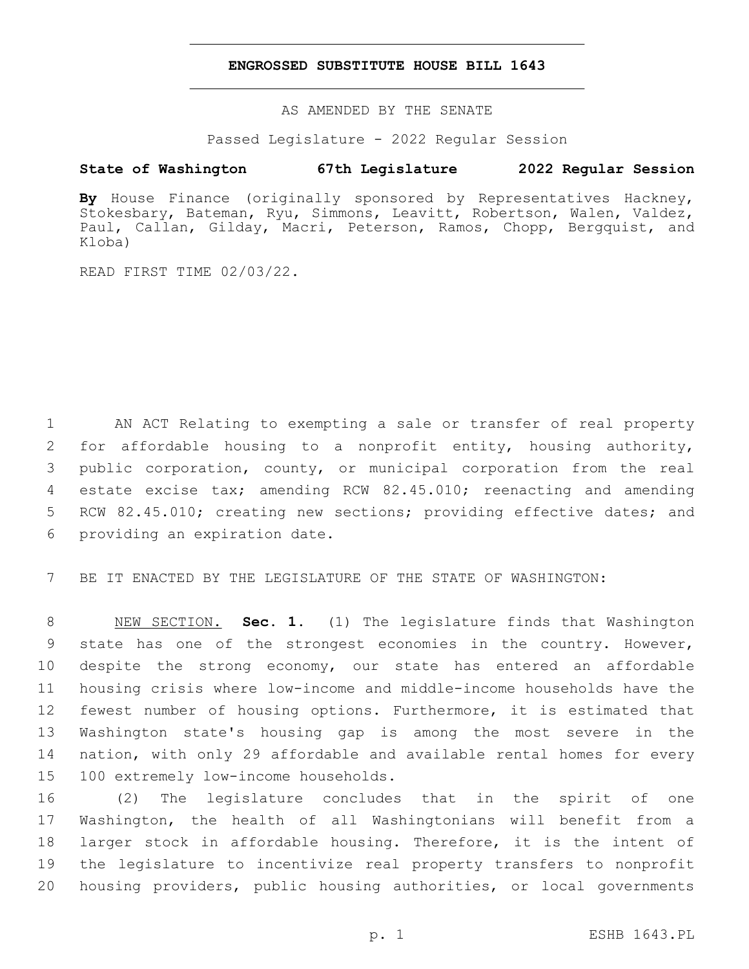## **ENGROSSED SUBSTITUTE HOUSE BILL 1643**

AS AMENDED BY THE SENATE

Passed Legislature - 2022 Regular Session

## **State of Washington 67th Legislature 2022 Regular Session**

**By** House Finance (originally sponsored by Representatives Hackney, Stokesbary, Bateman, Ryu, Simmons, Leavitt, Robertson, Walen, Valdez, Paul, Callan, Gilday, Macri, Peterson, Ramos, Chopp, Bergquist, and Kloba)

READ FIRST TIME 02/03/22.

 AN ACT Relating to exempting a sale or transfer of real property for affordable housing to a nonprofit entity, housing authority, public corporation, county, or municipal corporation from the real estate excise tax; amending RCW 82.45.010; reenacting and amending RCW 82.45.010; creating new sections; providing effective dates; and 6 providing an expiration date.

BE IT ENACTED BY THE LEGISLATURE OF THE STATE OF WASHINGTON:

 NEW SECTION. **Sec. 1.** (1) The legislature finds that Washington state has one of the strongest economies in the country. However, despite the strong economy, our state has entered an affordable housing crisis where low-income and middle-income households have the fewest number of housing options. Furthermore, it is estimated that Washington state's housing gap is among the most severe in the nation, with only 29 affordable and available rental homes for every 100 extremely low-income households.

 (2) The legislature concludes that in the spirit of one Washington, the health of all Washingtonians will benefit from a larger stock in affordable housing. Therefore, it is the intent of the legislature to incentivize real property transfers to nonprofit housing providers, public housing authorities, or local governments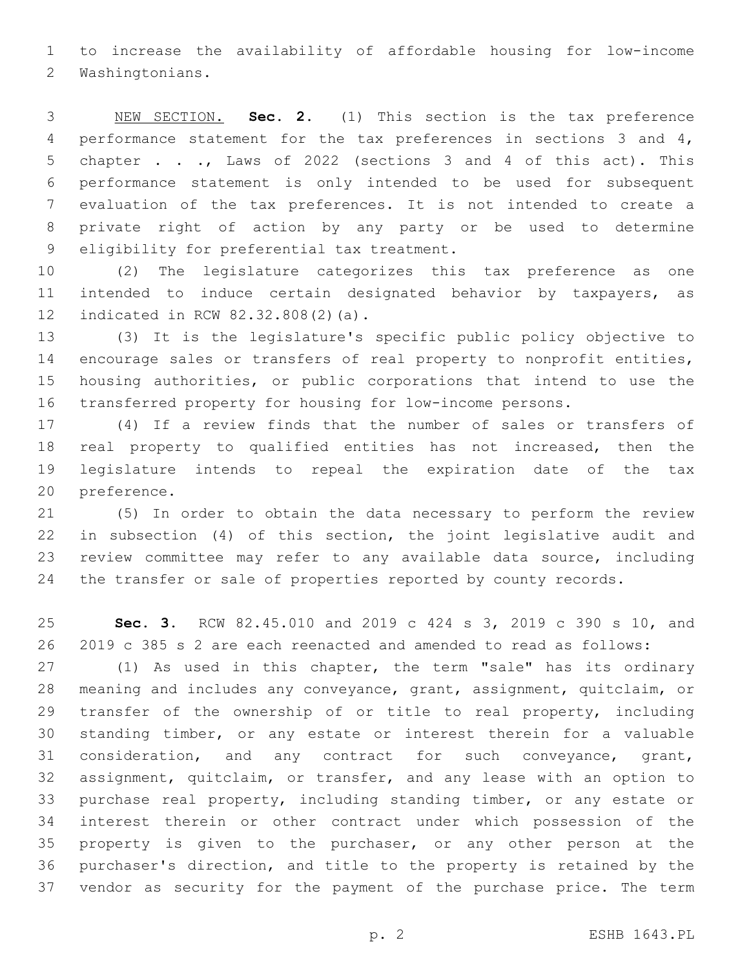to increase the availability of affordable housing for low-income 2 Washingtonians.

 NEW SECTION. **Sec. 2.** (1) This section is the tax preference performance statement for the tax preferences in sections 3 and 4, chapter . . ., Laws of 2022 (sections 3 and 4 of this act). This performance statement is only intended to be used for subsequent evaluation of the tax preferences. It is not intended to create a private right of action by any party or be used to determine eligibility for preferential tax treatment.

 (2) The legislature categorizes this tax preference as one intended to induce certain designated behavior by taxpayers, as 12 indicated in RCW 82.32.808(2)(a).

 (3) It is the legislature's specific public policy objective to encourage sales or transfers of real property to nonprofit entities, housing authorities, or public corporations that intend to use the transferred property for housing for low-income persons.

 (4) If a review finds that the number of sales or transfers of real property to qualified entities has not increased, then the legislature intends to repeal the expiration date of the tax 20 preference.

 (5) In order to obtain the data necessary to perform the review in subsection (4) of this section, the joint legislative audit and review committee may refer to any available data source, including the transfer or sale of properties reported by county records.

 **Sec. 3.** RCW 82.45.010 and 2019 c 424 s 3, 2019 c 390 s 10, and 2019 c 385 s 2 are each reenacted and amended to read as follows:

 (1) As used in this chapter, the term "sale" has its ordinary meaning and includes any conveyance, grant, assignment, quitclaim, or 29 transfer of the ownership of or title to real property, including standing timber, or any estate or interest therein for a valuable consideration, and any contract for such conveyance, grant, assignment, quitclaim, or transfer, and any lease with an option to purchase real property, including standing timber, or any estate or interest therein or other contract under which possession of the property is given to the purchaser, or any other person at the purchaser's direction, and title to the property is retained by the vendor as security for the payment of the purchase price. The term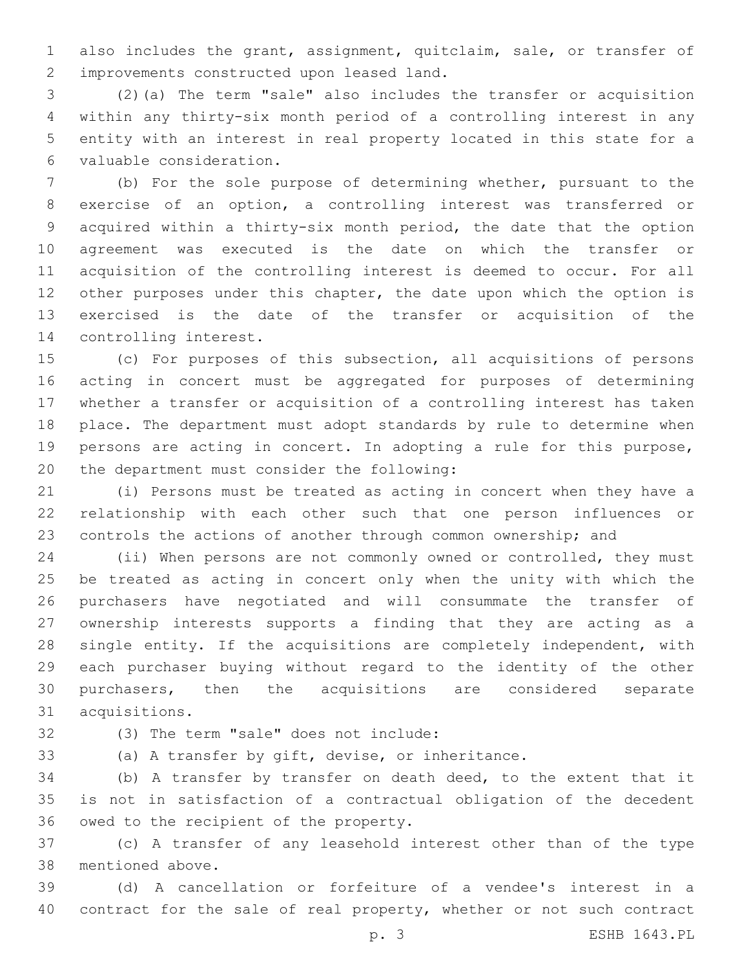also includes the grant, assignment, quitclaim, sale, or transfer of 2 improvements constructed upon leased land.

 (2)(a) The term "sale" also includes the transfer or acquisition within any thirty-six month period of a controlling interest in any entity with an interest in real property located in this state for a valuable consideration.6

 (b) For the sole purpose of determining whether, pursuant to the exercise of an option, a controlling interest was transferred or acquired within a thirty-six month period, the date that the option agreement was executed is the date on which the transfer or acquisition of the controlling interest is deemed to occur. For all 12 other purposes under this chapter, the date upon which the option is exercised is the date of the transfer or acquisition of the 14 controlling interest.

 (c) For purposes of this subsection, all acquisitions of persons acting in concert must be aggregated for purposes of determining whether a transfer or acquisition of a controlling interest has taken place. The department must adopt standards by rule to determine when persons are acting in concert. In adopting a rule for this purpose, 20 the department must consider the following:

 (i) Persons must be treated as acting in concert when they have a relationship with each other such that one person influences or controls the actions of another through common ownership; and

 (ii) When persons are not commonly owned or controlled, they must be treated as acting in concert only when the unity with which the purchasers have negotiated and will consummate the transfer of ownership interests supports a finding that they are acting as a single entity. If the acquisitions are completely independent, with each purchaser buying without regard to the identity of the other purchasers, then the acquisitions are considered separate 31 acquisitions.

(3) The term "sale" does not include:32

(a) A transfer by gift, devise, or inheritance.

 (b) A transfer by transfer on death deed, to the extent that it is not in satisfaction of a contractual obligation of the decedent 36 owed to the recipient of the property.

 (c) A transfer of any leasehold interest other than of the type 38 mentioned above.

 (d) A cancellation or forfeiture of a vendee's interest in a contract for the sale of real property, whether or not such contract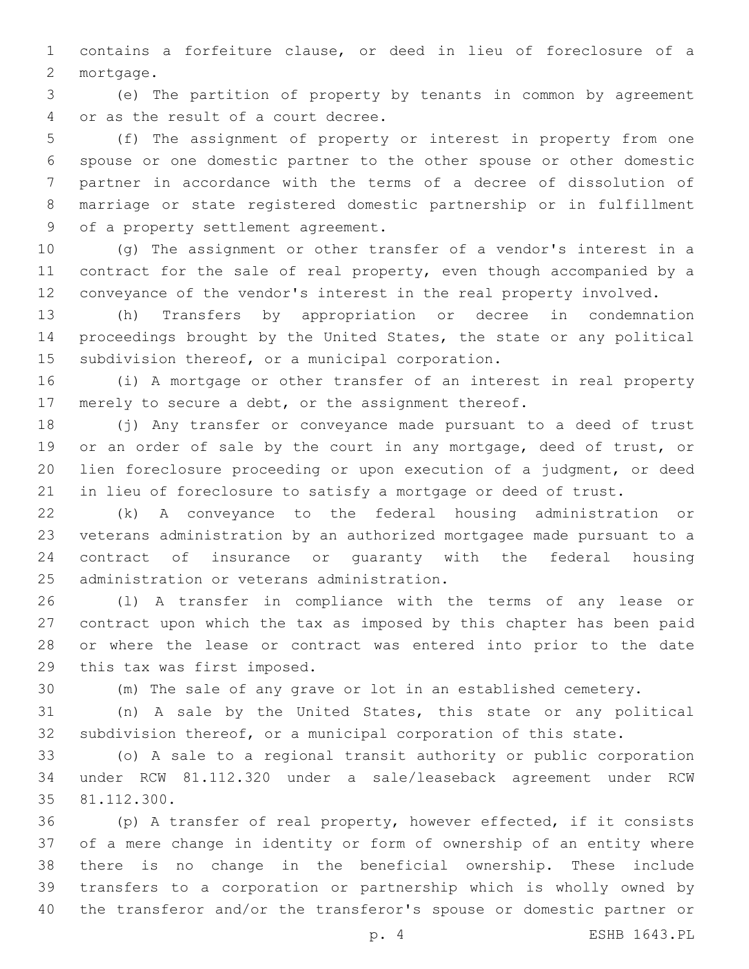contains a forfeiture clause, or deed in lieu of foreclosure of a 2 mortgage.

 (e) The partition of property by tenants in common by agreement 4 or as the result of a court decree.

 (f) The assignment of property or interest in property from one spouse or one domestic partner to the other spouse or other domestic partner in accordance with the terms of a decree of dissolution of marriage or state registered domestic partnership or in fulfillment 9 of a property settlement agreement.

 (g) The assignment or other transfer of a vendor's interest in a contract for the sale of real property, even though accompanied by a conveyance of the vendor's interest in the real property involved.

 (h) Transfers by appropriation or decree in condemnation proceedings brought by the United States, the state or any political 15 subdivision thereof, or a municipal corporation.

 (i) A mortgage or other transfer of an interest in real property merely to secure a debt, or the assignment thereof.

 (j) Any transfer or conveyance made pursuant to a deed of trust 19 or an order of sale by the court in any mortgage, deed of trust, or lien foreclosure proceeding or upon execution of a judgment, or deed in lieu of foreclosure to satisfy a mortgage or deed of trust.

 (k) A conveyance to the federal housing administration or veterans administration by an authorized mortgagee made pursuant to a contract of insurance or guaranty with the federal housing 25 administration or veterans administration.

 (l) A transfer in compliance with the terms of any lease or contract upon which the tax as imposed by this chapter has been paid or where the lease or contract was entered into prior to the date 29 this tax was first imposed.

(m) The sale of any grave or lot in an established cemetery.

 (n) A sale by the United States, this state or any political subdivision thereof, or a municipal corporation of this state.

 (o) A sale to a regional transit authority or public corporation under RCW 81.112.320 under a sale/leaseback agreement under RCW 35 81.112.300.

 (p) A transfer of real property, however effected, if it consists of a mere change in identity or form of ownership of an entity where there is no change in the beneficial ownership. These include transfers to a corporation or partnership which is wholly owned by the transferor and/or the transferor's spouse or domestic partner or

p. 4 ESHB 1643.PL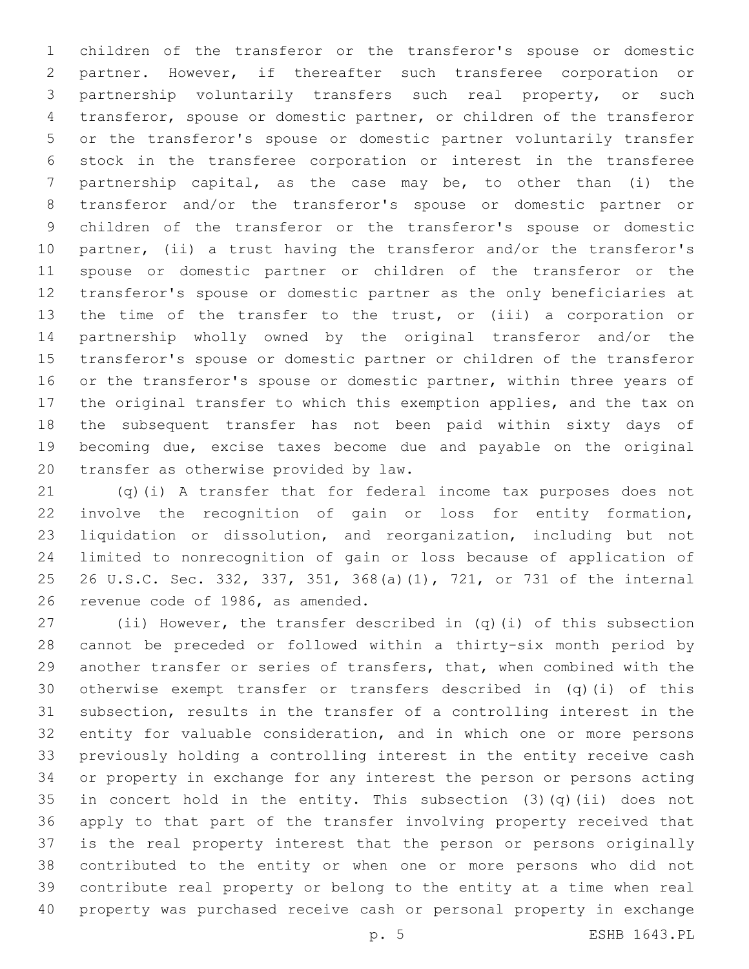children of the transferor or the transferor's spouse or domestic partner. However, if thereafter such transferee corporation or partnership voluntarily transfers such real property, or such transferor, spouse or domestic partner, or children of the transferor or the transferor's spouse or domestic partner voluntarily transfer stock in the transferee corporation or interest in the transferee partnership capital, as the case may be, to other than (i) the transferor and/or the transferor's spouse or domestic partner or children of the transferor or the transferor's spouse or domestic partner, (ii) a trust having the transferor and/or the transferor's spouse or domestic partner or children of the transferor or the transferor's spouse or domestic partner as the only beneficiaries at the time of the transfer to the trust, or (iii) a corporation or partnership wholly owned by the original transferor and/or the transferor's spouse or domestic partner or children of the transferor 16 or the transferor's spouse or domestic partner, within three years of the original transfer to which this exemption applies, and the tax on the subsequent transfer has not been paid within sixty days of becoming due, excise taxes become due and payable on the original 20 transfer as otherwise provided by law.

 (q)(i) A transfer that for federal income tax purposes does not involve the recognition of gain or loss for entity formation, liquidation or dissolution, and reorganization, including but not limited to nonrecognition of gain or loss because of application of 26 U.S.C. Sec. 332, 337, 351, 368(a)(1), 721, or 731 of the internal 26 revenue code of 1986, as amended.

 (ii) However, the transfer described in (q)(i) of this subsection cannot be preceded or followed within a thirty-six month period by another transfer or series of transfers, that, when combined with the otherwise exempt transfer or transfers described in (q)(i) of this subsection, results in the transfer of a controlling interest in the entity for valuable consideration, and in which one or more persons previously holding a controlling interest in the entity receive cash or property in exchange for any interest the person or persons acting in concert hold in the entity. This subsection (3)(q)(ii) does not apply to that part of the transfer involving property received that is the real property interest that the person or persons originally contributed to the entity or when one or more persons who did not contribute real property or belong to the entity at a time when real property was purchased receive cash or personal property in exchange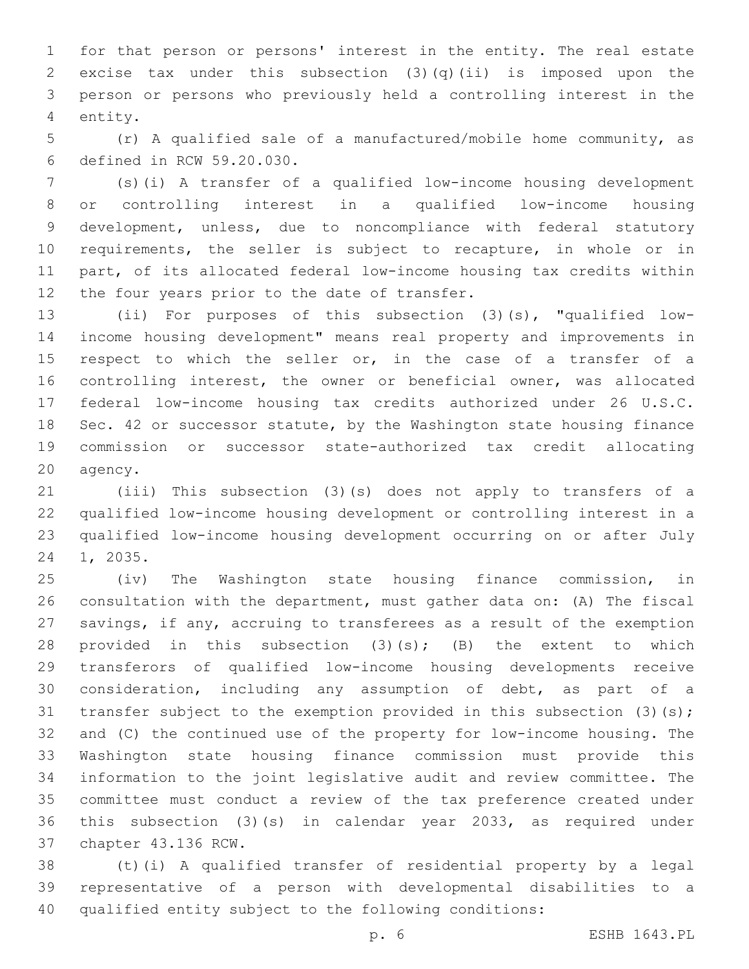for that person or persons' interest in the entity. The real estate excise tax under this subsection (3)(q)(ii) is imposed upon the person or persons who previously held a controlling interest in the 4 entity.

 (r) A qualified sale of a manufactured/mobile home community, as defined in RCW 59.20.030.6

 (s)(i) A transfer of a qualified low-income housing development or controlling interest in a qualified low-income housing development, unless, due to noncompliance with federal statutory requirements, the seller is subject to recapture, in whole or in part, of its allocated federal low-income housing tax credits within 12 the four years prior to the date of transfer.

 (ii) For purposes of this subsection (3)(s), "qualified low- income housing development" means real property and improvements in 15 respect to which the seller or, in the case of a transfer of a controlling interest, the owner or beneficial owner, was allocated federal low-income housing tax credits authorized under 26 U.S.C. Sec. 42 or successor statute, by the Washington state housing finance commission or successor state-authorized tax credit allocating 20 agency.

 (iii) This subsection (3)(s) does not apply to transfers of a qualified low-income housing development or controlling interest in a qualified low-income housing development occurring on or after July 24 1, 2035.

 (iv) The Washington state housing finance commission, in consultation with the department, must gather data on: (A) The fiscal savings, if any, accruing to transferees as a result of the exemption 28 provided in this subsection  $(3)(s)$ ;  $(B)$  the extent to which transferors of qualified low-income housing developments receive consideration, including any assumption of debt, as part of a 31 transfer subject to the exemption provided in this subsection (3)(s); and (C) the continued use of the property for low-income housing. The Washington state housing finance commission must provide this information to the joint legislative audit and review committee. The committee must conduct a review of the tax preference created under this subsection (3)(s) in calendar year 2033, as required under 37 chapter 43.136 RCW.

 (t)(i) A qualified transfer of residential property by a legal representative of a person with developmental disabilities to a qualified entity subject to the following conditions:

p. 6 ESHB 1643.PL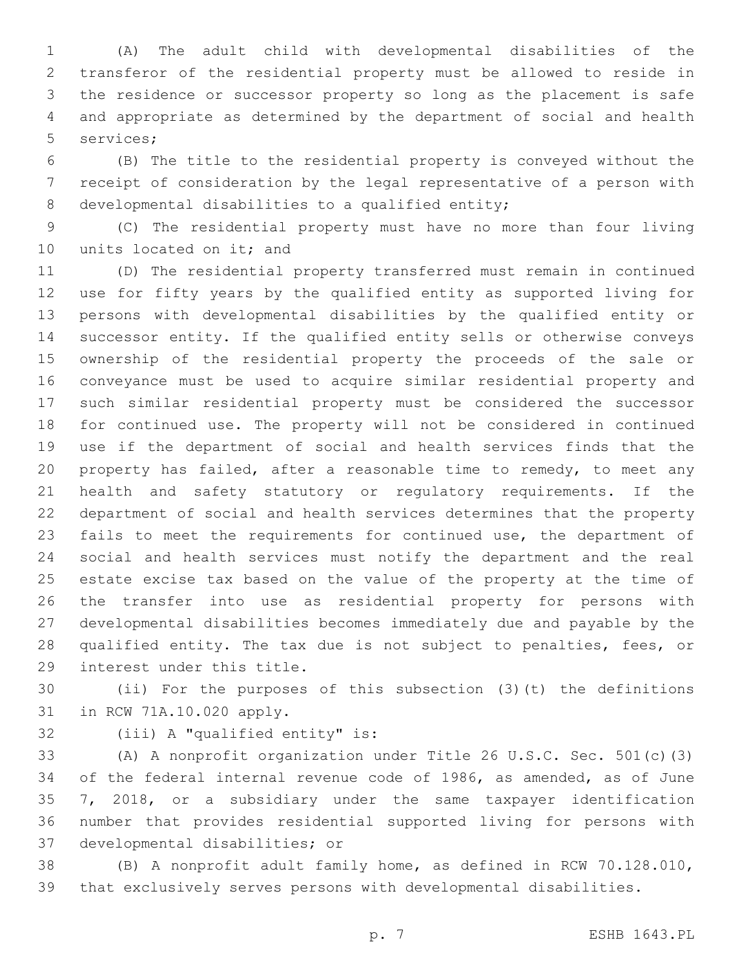(A) The adult child with developmental disabilities of the transferor of the residential property must be allowed to reside in the residence or successor property so long as the placement is safe and appropriate as determined by the department of social and health 5 services;

 (B) The title to the residential property is conveyed without the receipt of consideration by the legal representative of a person with 8 developmental disabilities to a qualified entity;

 (C) The residential property must have no more than four living 10 units located on it; and

 (D) The residential property transferred must remain in continued use for fifty years by the qualified entity as supported living for persons with developmental disabilities by the qualified entity or successor entity. If the qualified entity sells or otherwise conveys ownership of the residential property the proceeds of the sale or conveyance must be used to acquire similar residential property and such similar residential property must be considered the successor for continued use. The property will not be considered in continued use if the department of social and health services finds that the property has failed, after a reasonable time to remedy, to meet any health and safety statutory or regulatory requirements. If the department of social and health services determines that the property fails to meet the requirements for continued use, the department of social and health services must notify the department and the real estate excise tax based on the value of the property at the time of the transfer into use as residential property for persons with developmental disabilities becomes immediately due and payable by the qualified entity. The tax due is not subject to penalties, fees, or 29 interest under this title.

 (ii) For the purposes of this subsection (3)(t) the definitions 31 in RCW 71A.10.020 apply.

32 (iii) A "qualified entity" is:

 (A) A nonprofit organization under Title 26 U.S.C. Sec. 501(c)(3) of the federal internal revenue code of 1986, as amended, as of June 7, 2018, or a subsidiary under the same taxpayer identification number that provides residential supported living for persons with 37 developmental disabilities; or

 (B) A nonprofit adult family home, as defined in RCW 70.128.010, that exclusively serves persons with developmental disabilities.

p. 7 ESHB 1643.PL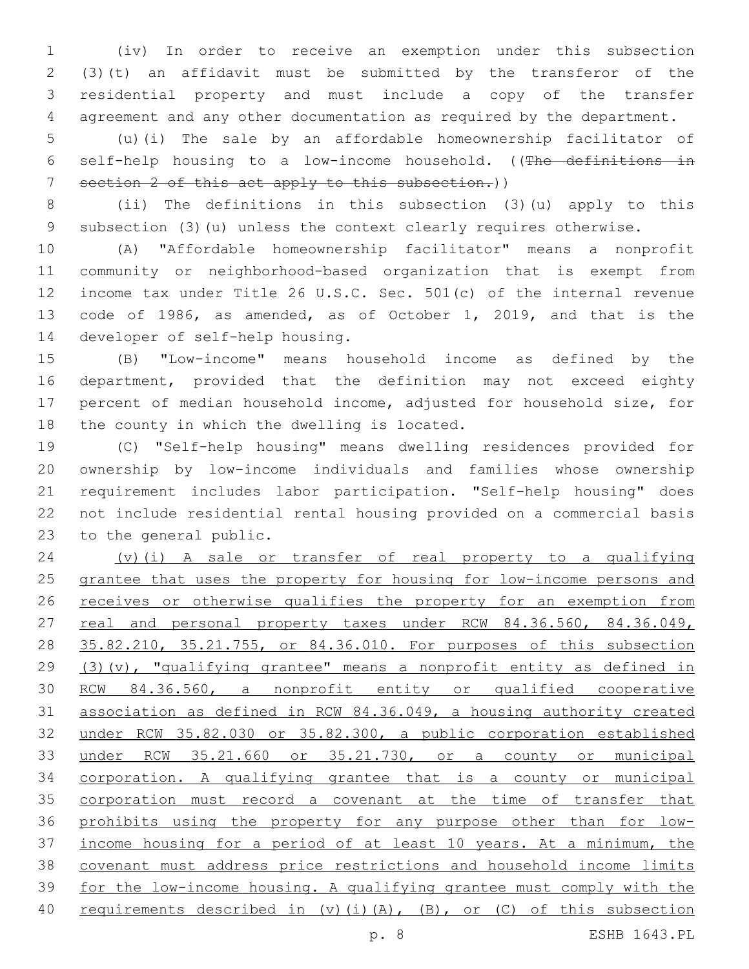(iv) In order to receive an exemption under this subsection (3)(t) an affidavit must be submitted by the transferor of the residential property and must include a copy of the transfer agreement and any other documentation as required by the department.

 (u)(i) The sale by an affordable homeownership facilitator of self-help housing to a low-income household. ((The definitions in section 2 of this act apply to this subsection.))

 (ii) The definitions in this subsection (3)(u) apply to this subsection (3)(u) unless the context clearly requires otherwise.

 (A) "Affordable homeownership facilitator" means a nonprofit community or neighborhood-based organization that is exempt from income tax under Title 26 U.S.C. Sec. 501(c) of the internal revenue code of 1986, as amended, as of October 1, 2019, and that is the 14 developer of self-help housing.

 (B) "Low-income" means household income as defined by the department, provided that the definition may not exceed eighty percent of median household income, adjusted for household size, for 18 the county in which the dwelling is located.

 (C) "Self-help housing" means dwelling residences provided for ownership by low-income individuals and families whose ownership requirement includes labor participation. "Self-help housing" does not include residential rental housing provided on a commercial basis 23 to the general public.

 (v)(i) A sale or transfer of real property to a qualifying 25 grantee that uses the property for housing for low-income persons and 26 receives or otherwise qualifies the property for an exemption from 27 real and personal property taxes under RCW 84.36.560, 84.36.049, 35.82.210, 35.21.755, or 84.36.010. For purposes of this subsection (3)(v), "qualifying grantee" means a nonprofit entity as defined in RCW 84.36.560, a nonprofit entity or qualified cooperative association as defined in RCW 84.36.049, a housing authority created under RCW 35.82.030 or 35.82.300, a public corporation established under RCW 35.21.660 or 35.21.730, or a county or municipal corporation. A qualifying grantee that is a county or municipal 35 corporation must record a covenant at the time of transfer that 36 prohibits using the property for any purpose other than for low- income housing for a period of at least 10 years. At a minimum, the covenant must address price restrictions and household income limits for the low-income housing. A qualifying grantee must comply with the requirements described in (v)(i)(A), (B), or (C) of this subsection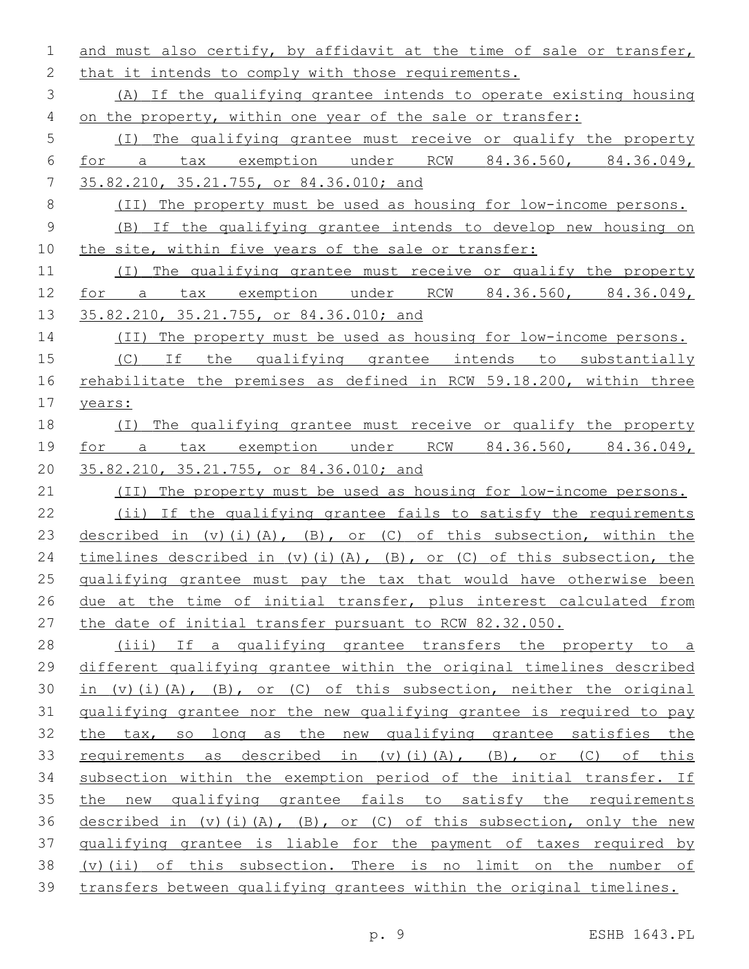and must also certify, by affidavit at the time of sale or transfer, 2 that it intends to comply with those requirements. (A) If the qualifying grantee intends to operate existing housing on the property, within one year of the sale or transfer: (I) The qualifying grantee must receive or qualify the property for a tax exemption under RCW 84.36.560, 84.36.049, 35.82.210, 35.21.755, or 84.36.010; and (II) The property must be used as housing for low-income persons. (B) If the qualifying grantee intends to develop new housing on the site, within five years of the sale or transfer: (I) The qualifying grantee must receive or qualify the property for a tax exemption under RCW 84.36.560, 84.36.049, 13 35.82.210, 35.21.755, or 84.36.010; and (II) The property must be used as housing for low-income persons. (C) If the qualifying grantee intends to substantially 16 rehabilitate the premises as defined in RCW 59.18.200, within three years: (I) The qualifying grantee must receive or qualify the property for a tax exemption under RCW 84.36.560, 84.36.049, 35.82.210, 35.21.755, or 84.36.010; and 21 (II) The property must be used as housing for low-income persons. (ii) If the qualifying grantee fails to satisfy the requirements 23 described in (v)(i)(A), (B), or (C) of this subsection, within the 24 timelines described in (v)(i)(A), (B), or (C) of this subsection, the qualifying grantee must pay the tax that would have otherwise been 26 due at the time of initial transfer, plus interest calculated from the date of initial transfer pursuant to RCW 82.32.050. (iii) If a qualifying grantee transfers the property to a different qualifying grantee within the original timelines described 30 in (v)(i)(A), (B), or (C) of this subsection, neither the original qualifying grantee nor the new qualifying grantee is required to pay the tax, so long as the new qualifying grantee satisfies the 33 requirements as described in (v)(i)(A), (B), or (C) of this subsection within the exemption period of the initial transfer. If the new qualifying grantee fails to satisfy the requirements 36 described in  $(v)$  (i)(A), (B), or (C) of this subsection, only the new qualifying grantee is liable for the payment of taxes required by (v)(ii) of this subsection. There is no limit on the number of transfers between qualifying grantees within the original timelines.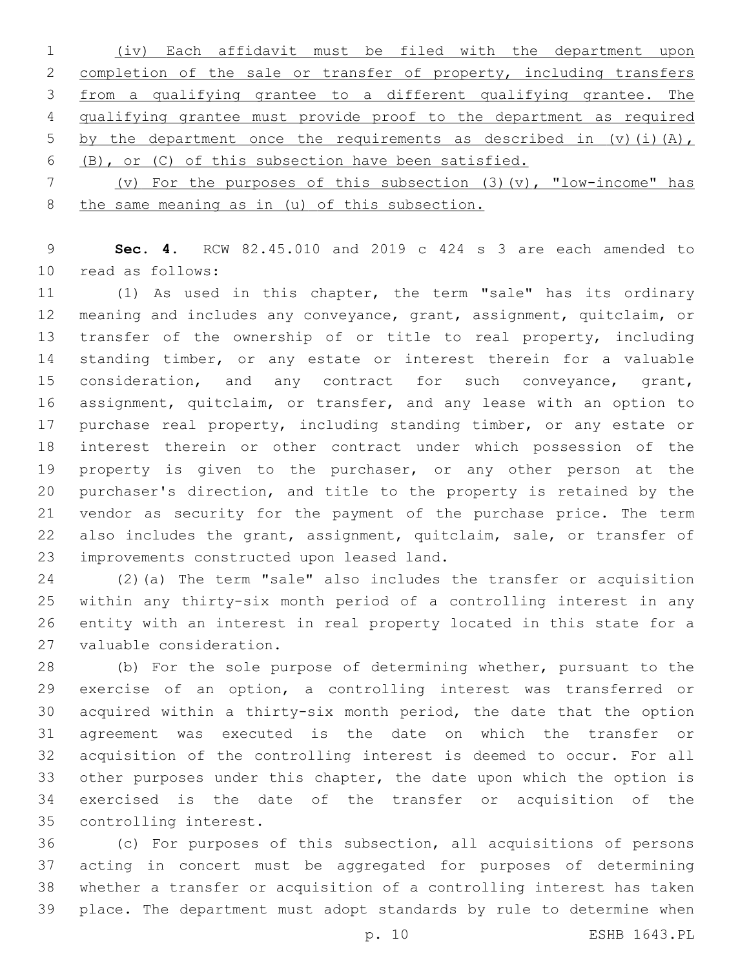(iv) Each affidavit must be filed with the department upon 2 completion of the sale or transfer of property, including transfers from a qualifying grantee to a different qualifying grantee. The qualifying grantee must provide proof to the department as required 5 by the department once the requirements as described in  $(v)$  (i)(A), (B), or (C) of this subsection have been satisfied.

 (v) For the purposes of this subsection (3)(v), "low-income" has the same meaning as in (u) of this subsection.

 **Sec. 4.** RCW 82.45.010 and 2019 c 424 s 3 are each amended to 10 read as follows:

 (1) As used in this chapter, the term "sale" has its ordinary meaning and includes any conveyance, grant, assignment, quitclaim, or 13 transfer of the ownership of or title to real property, including standing timber, or any estate or interest therein for a valuable 15 consideration, and any contract for such conveyance, grant, assignment, quitclaim, or transfer, and any lease with an option to 17 purchase real property, including standing timber, or any estate or interest therein or other contract under which possession of the property is given to the purchaser, or any other person at the purchaser's direction, and title to the property is retained by the vendor as security for the payment of the purchase price. The term also includes the grant, assignment, quitclaim, sale, or transfer of 23 improvements constructed upon leased land.

 (2)(a) The term "sale" also includes the transfer or acquisition within any thirty-six month period of a controlling interest in any entity with an interest in real property located in this state for a 27 valuable consideration.

 (b) For the sole purpose of determining whether, pursuant to the exercise of an option, a controlling interest was transferred or acquired within a thirty-six month period, the date that the option agreement was executed is the date on which the transfer or acquisition of the controlling interest is deemed to occur. For all other purposes under this chapter, the date upon which the option is exercised is the date of the transfer or acquisition of the 35 controlling interest.

 (c) For purposes of this subsection, all acquisitions of persons acting in concert must be aggregated for purposes of determining whether a transfer or acquisition of a controlling interest has taken place. The department must adopt standards by rule to determine when

p. 10 ESHB 1643.PL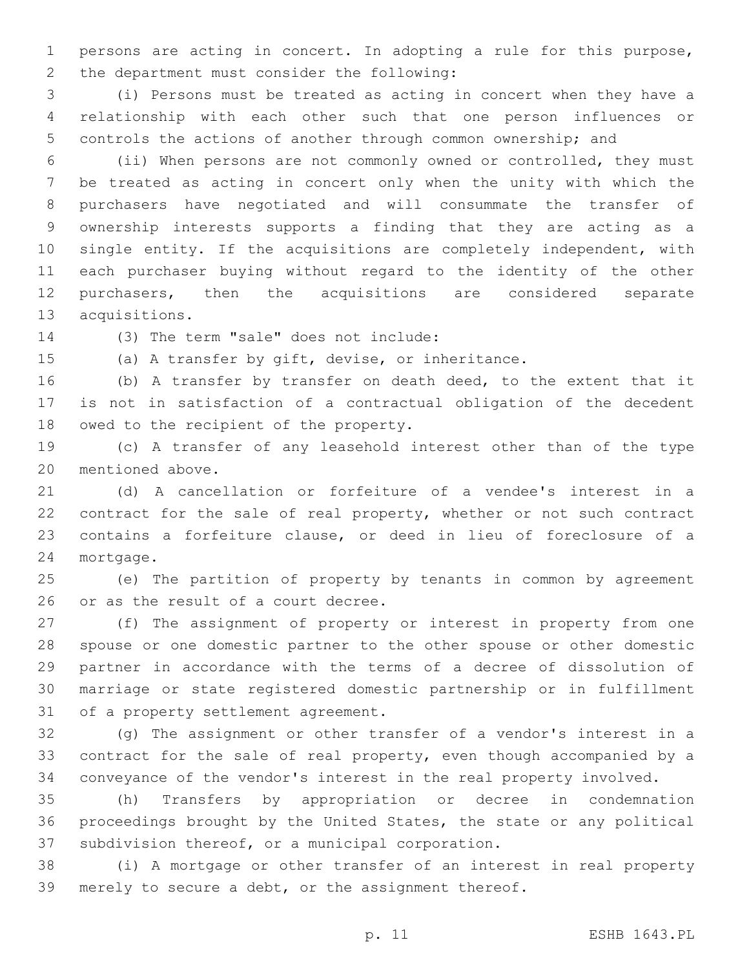persons are acting in concert. In adopting a rule for this purpose, 2 the department must consider the following:

 (i) Persons must be treated as acting in concert when they have a relationship with each other such that one person influences or controls the actions of another through common ownership; and

 (ii) When persons are not commonly owned or controlled, they must be treated as acting in concert only when the unity with which the purchasers have negotiated and will consummate the transfer of ownership interests supports a finding that they are acting as a single entity. If the acquisitions are completely independent, with each purchaser buying without regard to the identity of the other purchasers, then the acquisitions are considered separate 13 acquisitions.

14 (3) The term "sale" does not include:

(a) A transfer by gift, devise, or inheritance.

 (b) A transfer by transfer on death deed, to the extent that it is not in satisfaction of a contractual obligation of the decedent 18 owed to the recipient of the property.

 (c) A transfer of any leasehold interest other than of the type 20 mentioned above.

 (d) A cancellation or forfeiture of a vendee's interest in a contract for the sale of real property, whether or not such contract contains a forfeiture clause, or deed in lieu of foreclosure of a 24 mortgage.

 (e) The partition of property by tenants in common by agreement 26 or as the result of a court decree.

 (f) The assignment of property or interest in property from one spouse or one domestic partner to the other spouse or other domestic partner in accordance with the terms of a decree of dissolution of marriage or state registered domestic partnership or in fulfillment 31 of a property settlement agreement.

 (g) The assignment or other transfer of a vendor's interest in a contract for the sale of real property, even though accompanied by a conveyance of the vendor's interest in the real property involved.

 (h) Transfers by appropriation or decree in condemnation proceedings brought by the United States, the state or any political 37 subdivision thereof, or a municipal corporation.

 (i) A mortgage or other transfer of an interest in real property merely to secure a debt, or the assignment thereof.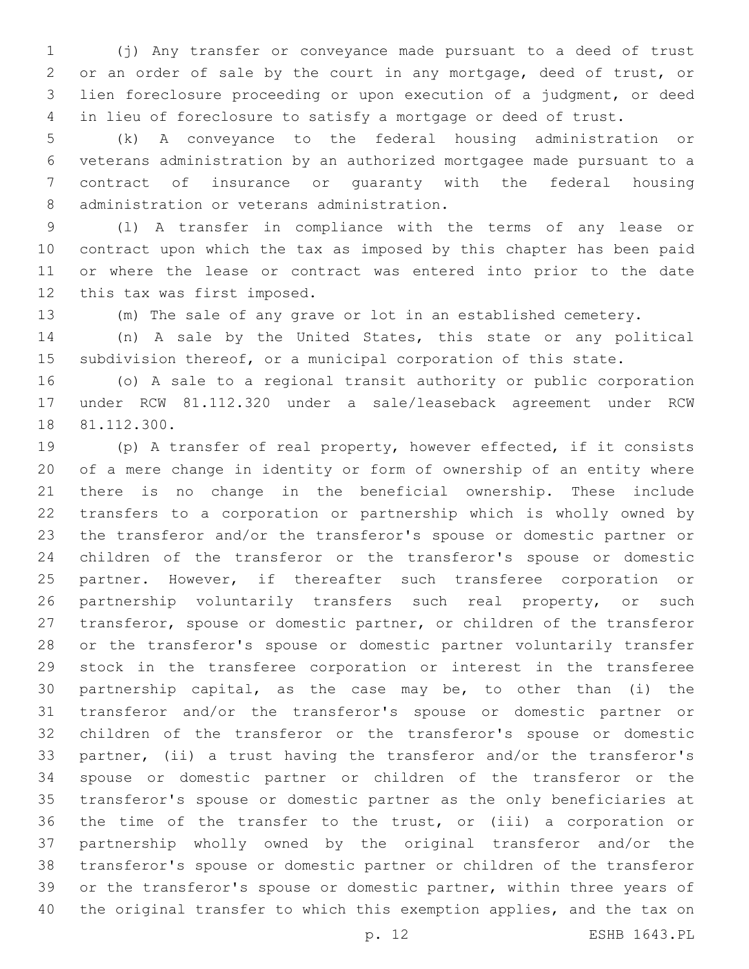(j) Any transfer or conveyance made pursuant to a deed of trust or an order of sale by the court in any mortgage, deed of trust, or lien foreclosure proceeding or upon execution of a judgment, or deed in lieu of foreclosure to satisfy a mortgage or deed of trust.

 (k) A conveyance to the federal housing administration or veterans administration by an authorized mortgagee made pursuant to a contract of insurance or guaranty with the federal housing 8 administration or veterans administration.

 (l) A transfer in compliance with the terms of any lease or contract upon which the tax as imposed by this chapter has been paid or where the lease or contract was entered into prior to the date 12 this tax was first imposed.

(m) The sale of any grave or lot in an established cemetery.

 (n) A sale by the United States, this state or any political subdivision thereof, or a municipal corporation of this state.

 (o) A sale to a regional transit authority or public corporation under RCW 81.112.320 under a sale/leaseback agreement under RCW 18 81.112.300.

 (p) A transfer of real property, however effected, if it consists of a mere change in identity or form of ownership of an entity where there is no change in the beneficial ownership. These include transfers to a corporation or partnership which is wholly owned by the transferor and/or the transferor's spouse or domestic partner or children of the transferor or the transferor's spouse or domestic partner. However, if thereafter such transferee corporation or 26 partnership voluntarily transfers such real property, or such transferor, spouse or domestic partner, or children of the transferor or the transferor's spouse or domestic partner voluntarily transfer stock in the transferee corporation or interest in the transferee partnership capital, as the case may be, to other than (i) the transferor and/or the transferor's spouse or domestic partner or children of the transferor or the transferor's spouse or domestic partner, (ii) a trust having the transferor and/or the transferor's spouse or domestic partner or children of the transferor or the transferor's spouse or domestic partner as the only beneficiaries at the time of the transfer to the trust, or (iii) a corporation or partnership wholly owned by the original transferor and/or the transferor's spouse or domestic partner or children of the transferor 39 or the transferor's spouse or domestic partner, within three years of the original transfer to which this exemption applies, and the tax on

p. 12 ESHB 1643.PL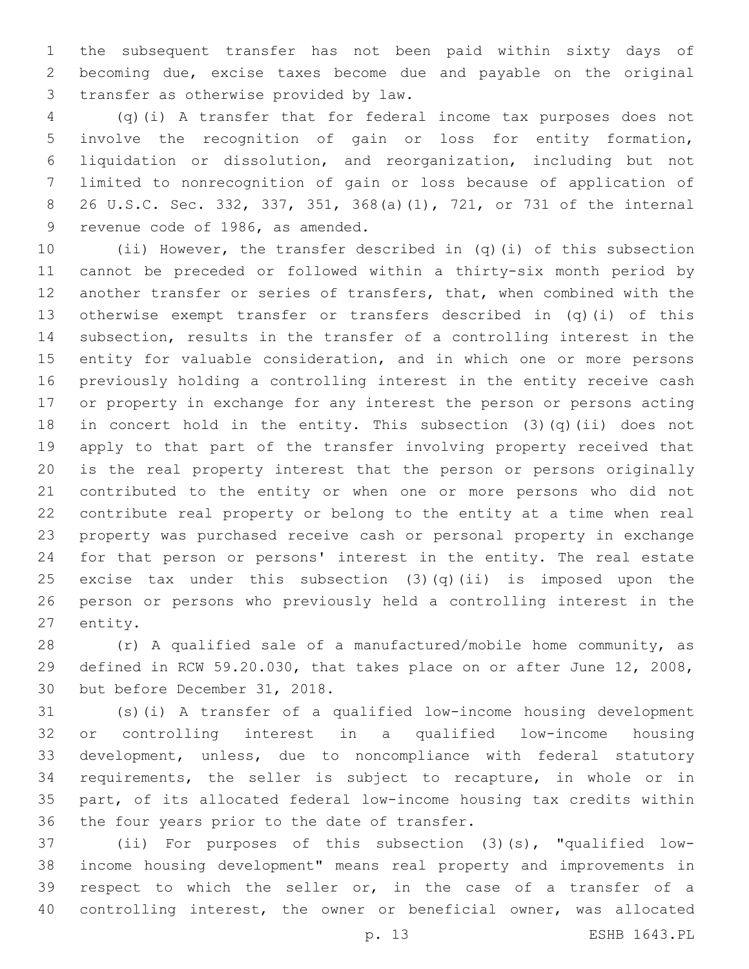the subsequent transfer has not been paid within sixty days of becoming due, excise taxes become due and payable on the original 3 transfer as otherwise provided by law.

 (q)(i) A transfer that for federal income tax purposes does not involve the recognition of gain or loss for entity formation, liquidation or dissolution, and reorganization, including but not limited to nonrecognition of gain or loss because of application of 26 U.S.C. Sec. 332, 337, 351, 368(a)(1), 721, or 731 of the internal 9 revenue code of 1986, as amended.

 (ii) However, the transfer described in (q)(i) of this subsection cannot be preceded or followed within a thirty-six month period by another transfer or series of transfers, that, when combined with the otherwise exempt transfer or transfers described in (q)(i) of this subsection, results in the transfer of a controlling interest in the entity for valuable consideration, and in which one or more persons previously holding a controlling interest in the entity receive cash or property in exchange for any interest the person or persons acting in concert hold in the entity. This subsection (3)(q)(ii) does not apply to that part of the transfer involving property received that is the real property interest that the person or persons originally contributed to the entity or when one or more persons who did not contribute real property or belong to the entity at a time when real property was purchased receive cash or personal property in exchange for that person or persons' interest in the entity. The real estate 25 excise tax under this subsection  $(3)(q)(ii)$  is imposed upon the person or persons who previously held a controlling interest in the 27 entity.

 (r) A qualified sale of a manufactured/mobile home community, as defined in RCW 59.20.030, that takes place on or after June 12, 2008, 30 but before December 31, 2018.

 (s)(i) A transfer of a qualified low-income housing development or controlling interest in a qualified low-income housing development, unless, due to noncompliance with federal statutory requirements, the seller is subject to recapture, in whole or in part, of its allocated federal low-income housing tax credits within 36 the four years prior to the date of transfer.

 (ii) For purposes of this subsection (3)(s), "qualified low- income housing development" means real property and improvements in respect to which the seller or, in the case of a transfer of a controlling interest, the owner or beneficial owner, was allocated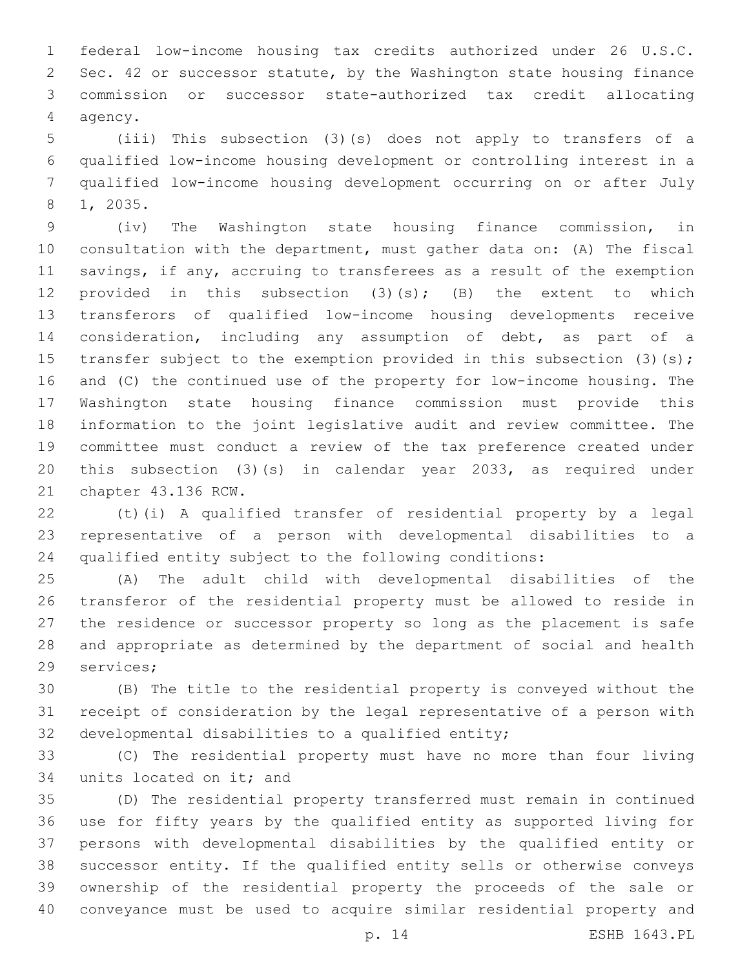federal low-income housing tax credits authorized under 26 U.S.C. Sec. 42 or successor statute, by the Washington state housing finance commission or successor state-authorized tax credit allocating 4 agency.

 (iii) This subsection (3)(s) does not apply to transfers of a qualified low-income housing development or controlling interest in a qualified low-income housing development occurring on or after July 8 1, 2035.

 (iv) The Washington state housing finance commission, in consultation with the department, must gather data on: (A) The fiscal savings, if any, accruing to transferees as a result of the exemption 12 provided in this subsection (3)(s); (B) the extent to which transferors of qualified low-income housing developments receive consideration, including any assumption of debt, as part of a 15 transfer subject to the exemption provided in this subsection (3)(s); and (C) the continued use of the property for low-income housing. The Washington state housing finance commission must provide this information to the joint legislative audit and review committee. The committee must conduct a review of the tax preference created under this subsection (3)(s) in calendar year 2033, as required under 21 chapter 43.136 RCW.

 (t)(i) A qualified transfer of residential property by a legal representative of a person with developmental disabilities to a qualified entity subject to the following conditions:

 (A) The adult child with developmental disabilities of the transferor of the residential property must be allowed to reside in the residence or successor property so long as the placement is safe and appropriate as determined by the department of social and health 29 services;

 (B) The title to the residential property is conveyed without the receipt of consideration by the legal representative of a person with 32 developmental disabilities to a qualified entity;

 (C) The residential property must have no more than four living 34 units located on it; and

 (D) The residential property transferred must remain in continued use for fifty years by the qualified entity as supported living for persons with developmental disabilities by the qualified entity or successor entity. If the qualified entity sells or otherwise conveys ownership of the residential property the proceeds of the sale or conveyance must be used to acquire similar residential property and

p. 14 ESHB 1643.PL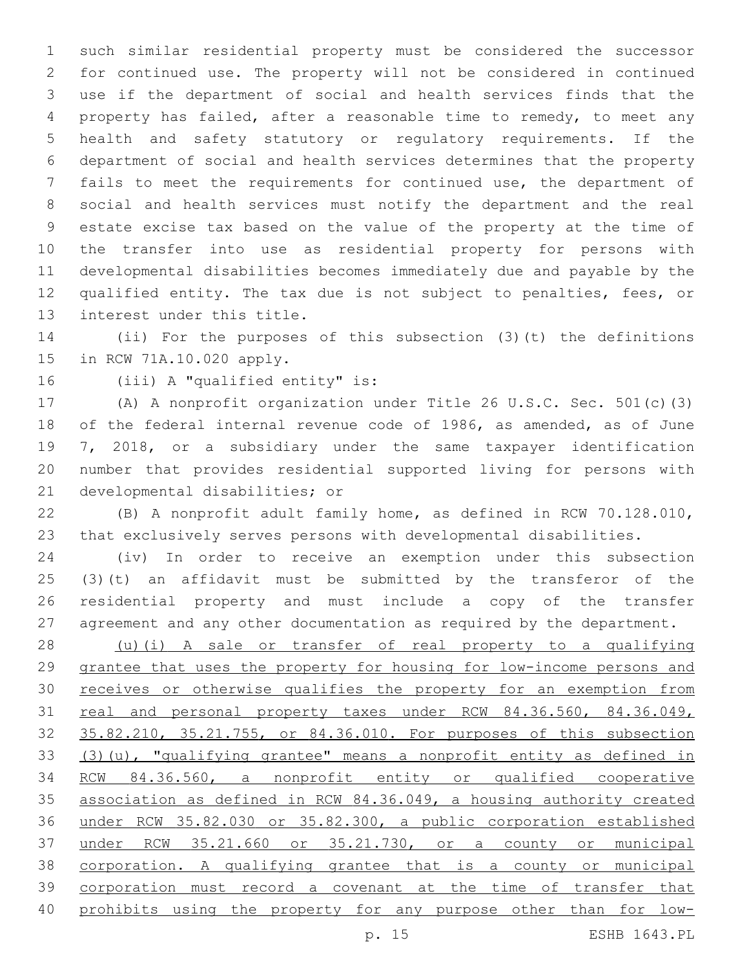such similar residential property must be considered the successor for continued use. The property will not be considered in continued use if the department of social and health services finds that the property has failed, after a reasonable time to remedy, to meet any health and safety statutory or regulatory requirements. If the department of social and health services determines that the property fails to meet the requirements for continued use, the department of social and health services must notify the department and the real estate excise tax based on the value of the property at the time of the transfer into use as residential property for persons with developmental disabilities becomes immediately due and payable by the qualified entity. The tax due is not subject to penalties, fees, or 13 interest under this title.

 (ii) For the purposes of this subsection (3)(t) the definitions 15 in RCW 71A.10.020 apply.

16 (iii) A "qualified entity" is:

 (A) A nonprofit organization under Title 26 U.S.C. Sec. 501(c)(3) of the federal internal revenue code of 1986, as amended, as of June 7, 2018, or a subsidiary under the same taxpayer identification number that provides residential supported living for persons with 21 developmental disabilities; or

 (B) A nonprofit adult family home, as defined in RCW 70.128.010, that exclusively serves persons with developmental disabilities.

 (iv) In order to receive an exemption under this subsection (3)(t) an affidavit must be submitted by the transferor of the residential property and must include a copy of the transfer agreement and any other documentation as required by the department.

 (u)(i) A sale or transfer of real property to a qualifying grantee that uses the property for housing for low-income persons and 30 receives or otherwise qualifies the property for an exemption from 31 real and personal property taxes under RCW 84.36.560, 84.36.049, 35.82.210, 35.21.755, or 84.36.010. For purposes of this subsection (3)(u), "qualifying grantee" means a nonprofit entity as defined in RCW 84.36.560, a nonprofit entity or qualified cooperative association as defined in RCW 84.36.049, a housing authority created under RCW 35.82.030 or 35.82.300, a public corporation established under RCW 35.21.660 or 35.21.730, or a county or municipal corporation. A qualifying grantee that is a county or municipal corporation must record a covenant at the time of transfer that prohibits using the property for any purpose other than for low-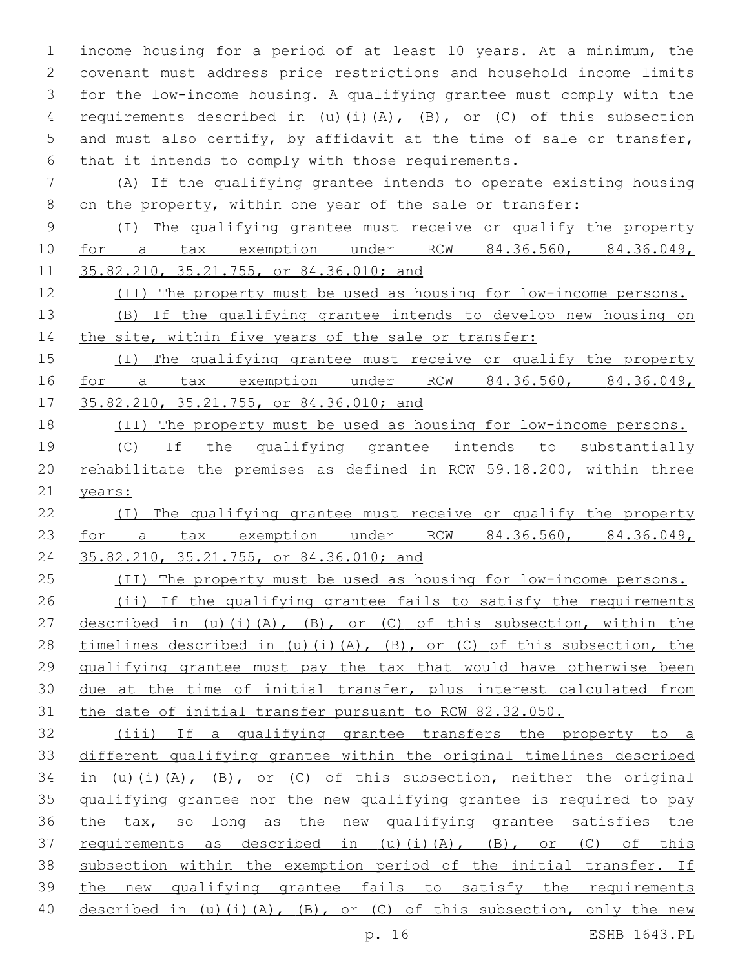| 1           | income housing for a period of at least 10 years. At a minimum, the   |
|-------------|-----------------------------------------------------------------------|
| 2           | covenant must address price restrictions and household income limits  |
| 3           | for the low-income housing. A qualifying grantee must comply with the |
| 4           | requirements described in (u)(i)(A), (B), or (C) of this subsection   |
| 5           | and must also certify, by affidavit at the time of sale or transfer,  |
| 6           | that it intends to comply with those requirements.                    |
| 7           | (A) If the qualifying grantee intends to operate existing housing     |
| 8           | on the property, within one year of the sale or transfer:             |
| $\mathsf 9$ | (I) The qualifying grantee must receive or qualify the property       |
| 10          | for a tax exemption under RCW 84.36.560, 84.36.049,                   |
| 11          | 35.82.210, 35.21.755, or 84.36.010; and                               |
| 12          | (II) The property must be used as housing for low-income persons.     |
| 13          | (B) If the qualifying grantee intends to develop new housing on       |
| 14          | the site, within five years of the sale or transfer:                  |
| 15          | (I) The qualifying grantee must receive or qualify the property       |
| 16          | for a tax exemption under RCW 84.36.560, 84.36.049,                   |
| 17          | 35.82.210, 35.21.755, or 84.36.010; and                               |
| 18          | (II) The property must be used as housing for low-income persons.     |
| 19          | (C) If the qualifying grantee intends to substantially                |
| 20          | rehabilitate the premises as defined in RCW 59.18.200, within three   |
| 21          | years:                                                                |
| 22          | (I) The qualifying grantee must receive or qualify the property       |
| 23          | for a tax exemption under RCW 84.36.560, 84.36.049,                   |
| 24          | 35.82.210, 35.21.755, or 84.36.010; and                               |
| 25          | (II) The property must be used as housing for low-income persons.     |
| 26          | (ii) If the qualifying grantee fails to satisfy the requirements      |
| 27          | described in (u)(i)(A), (B), or (C) of this subsection, within the    |
| 28          | timelines described in (u)(i)(A), (B), or (C) of this subsection, the |
| 29          | qualifying grantee must pay the tax that would have otherwise been    |
| 30          | due at the time of initial transfer, plus interest calculated from    |
| 31          | the date of initial transfer pursuant to RCW 82.32.050.               |
| 32          | (iii) If a qualifying grantee transfers the property to a             |
| 33          | different qualifying grantee within the original timelines described  |
| 34          | in (u)(i)(A), $(B)$ , or (C) of this subsection, neither the original |
| 35          |                                                                       |
| 36          | qualifying grantee nor the new qualifying grantee is required to pay  |
|             | the tax, so long as the new qualifying grantee satisfies the          |
| 37          | requirements as described in (u)(i)(A), (B), or (C) of this           |
| 38          | subsection within the exemption period of the initial transfer. If    |
| 39          | the new qualifying grantee fails to satisfy the requirements          |

p. 16 ESHB 1643.PL